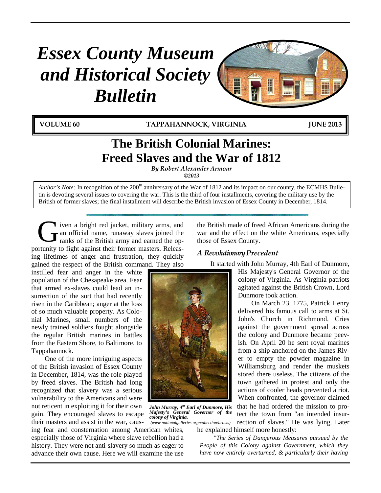# *Essex County Museum and Historical Society Bulletin*

**VOLUME 60 TAPPAHANNOCK, VIRGINIA JUNE 2013**

W

## **The British Colonial Marines: Freed Slaves and the War of 1812**

*By Robert Alexander Armour ©2013*

*Author's Note:* In recognition of the 200<sup>th</sup> anniversary of the War of 1812 and its impact on our county, the ECMHS Bulletin is devoting several issues to covering the war. This is the third of four installments, covering the military use by the British of former slaves; the final installment will describe the British invasion of Essex County in December, 1814.

iven a bright red jacket, military arms, and an official name, runaway slaves joined the ranks of the British army and earned the opportunity to fight against their former masters. Releasing lifetimes of anger and frustration, they quickly gained the respect of the British command. They also  $\mathbf{G}$ <sup>ive</sup>

instilled fear and anger in the white population of the Chesapeake area. Fear that armed ex-slaves could lead an insurrection of the sort that had recently risen in the Caribbean; anger at the loss of so much valuable property. As Colonial Marines, small numbers of the newly trained soldiers fought alongside the regular British marines in battles from the Eastern Shore, to Baltimore, to Tappahannock.

One of the more intriguing aspects of the British invasion of Essex County in December, 1814, was the role played by freed slaves. The British had long recognized that slavery was a serious vulnerability to the Americans and were not reticent in exploiting it for their own gain. They encouraged slaves to escape their masters and assist in the war, caus-

ing fear and consternation among American whites, especially those of Virginia where slave rebellion had a history. They were not anti-slavery so much as eager to advance their own cause. Here we will examine the use the British made of freed African Americans during the war and the effect on the white Americans, especially those of Essex County.

H

## *A RevolutionaryPrecedent*

It started with John Murray, 4th Earl of Dunmore,

His Majesty's General Governor of the colony of Virginia. As Virginia patriots agitated against the British Crown, Lord Dunmore took action.

On March 23, 1775, Patrick Henry delivered his famous call to arms at St. John's Church in Richmond. Cries against the government spread across the colony and Dunmore became peevish. On April 20 he sent royal marines from a ship anchored on the James River to empty the powder magazine in Williamsburg and render the muskets stored there useless. The citizens of the town gathered in protest and only the actions of cooler heads prevented a riot. When confronted, the governor claimed that he had ordered the mission to protect the town from "an intended insur-

rection of slaves." He was lying. Later he explained himself more honestly: *(www.nationalgalleries.org/collection/artists)*

*"The Series of Dangerous Measures pursued by the People of this Colony against Government, which they have now entirely overturned, & particularly their having* 



*John Murray, 4th Earl of Dunmore, His Majesty's General Governor of the* 

*colony of Virginia.*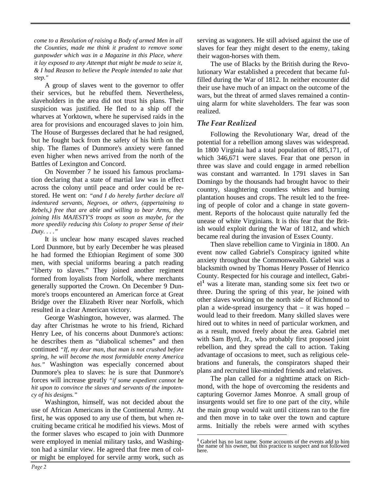*come to a Resolution of raising a Body of armed Men in all the Counties, made me think it prudent to remove some gunpowder which was in a Magazine in this Place, where it lay exposed to any Attempt that might be made to seize it, & I had Reason to believe the People intended to take that step."*

A group of slaves went to the governor to offer their services, but he rebuffed them. Nevertheless, slaveholders in the area did not trust his plans. Their suspicion was justified. He fled to a ship off the wharves at Yorktown, where he supervised raids in the area for provisions and encouraged slaves to join him. The House of Burgesses declared that he had resigned, but he fought back from the safety of his birth on the ship. The flames of Dunmore's anxiety were fanned even higher when news arrived from the north of the Battles of Lexington and Concord.

On November 7 he issued his famous proclamation declaring that a state of martial law was in effect across the colony until peace and order could be restored. He went on: *"and I do hereby further declare all indentured servants, Negroes, or others, (appertaining to Rebels,) free that are able and willing to bear Arms, they joining His MAJESTY'S troops as soon as maybe, for the more speedily reducing this Colony to proper Sense of their Duty. . . ."*

It is unclear how many escaped slaves reached Lord Dunmore, but by early December he was pleased he had formed the Ethiopian Regiment of some 300 men, with special uniforms bearing a patch reading "liberty to slaves." They joined another regiment formed from loyalists from Norfolk, where merchants generally supported the Crown. On December 9 Dunmore's troops encountered an American force at Great Bridge over the Elizabeth River near Norfolk, which resulted in a clear American victory.

George Washington, however, was alarmed. The day after Christmas he wrote to his friend, Richard Henry Lee, of his concerns about Dunmore's actions: he describes them as "diabolical schemes" and then continued *"If, my dear man, that man is not crushed before spring, he will become the most formidable enemy America has."* Washington was especially concerned about Dunmore's plea to slaves: he is sure that Dunmore's forces will increase greatly *"if some expedient cannot be hit upon to convince the slaves and servants of the impotency of his designs."*

<span id="page-1-0"></span>Washington, himself, was not decided about the use of African Americans in the Continental Army. At first, he was opposed to any use of them, but when recruiting became critical he modified his views. Most of the former slaves who escaped to join with Dunmore were employed in menial military tasks, and Washington had a similar view. He agreed that free men of color might be employed for servile army work, such as

serving as wagoners. He still advised against the use of slaves for fear they might desert to the enemy, taking their wagon-horses with them.

The use of Blacks by the British during the Revolutionary War established a precedent that became fulfilled during the War of 1812. In neither encounter did their use have much of an impact on the outcome of the wars, but the threat of armed slaves remained a continuing alarm for white slaveholders. The fear was soon realized.

## *The Fear Realized*

Following the Revolutionary War, dread of the potential for a rebellion among slaves was widespread. In 1800 Virginia had a total population of 885,171, of which 346,671 were slaves. Fear that one person in three was slave and could engage in armed rebellion was constant and warranted. In 1791 slaves in San Domingo by the thousands had brought havoc to their country, slaughtering countless whites and burning plantation houses and crops. The result led to the freeing of people of color and a change in state government. Reports of the holocaust quite naturally fed the unease of white Virginians. It is this fear that the British would exploit during the War of 1812, and which became real during the invasion of Essex County.

Then slave rebellion came to Virginia in 1800. An event now called Gabriel's Conspiracy ignited white anxiety throughout the Commonwealth. Gabriel was a blacksmith owned by Thomas Henry Posser of Henrico County. Respected for his courage and intellect, Gabriel**[1](#page-1-0)** was a literate man, standing some six feet two or three. During the spring of this year, he joined with other slaves working on the north side of Richmond to plan a wide-spread insurgency that – it was hoped – would lead to their freedom. Many skilled slaves were hired out to whites in need of particular workmen, and as a result, moved freely about the area. Gabriel met with Sam Byrd, Jr., who probably first proposed joint rebellion, and they spread the call to action. Taking advantage of occasions to meet, such as religious celebrations and funerals, the conspirators shaped their plans and recruited like-minded friends and relatives.

The plan called for a nighttime attack on Richmond, with the hope of overcoming the residents and capturing Governor James Monroe. A small group of insurgents would set fire to one part of the city, while the main group would wait until citizens ran to the fire and then move in to take over the town and capture arms. Initially the rebels were armed with scythes

 $\overline{a}$ 

**<sup>1</sup>** Gabriel has no last name. Some accounts of the events add to him the name of his owner, but this practice is suspect and not followed here.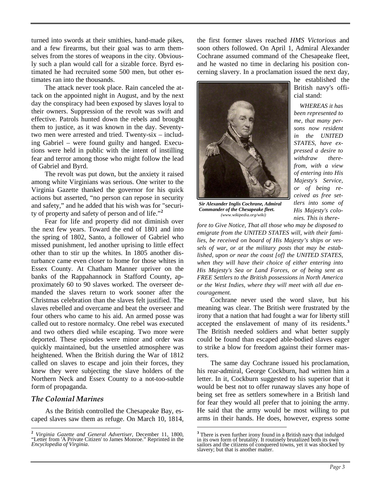turned into swords at their smithies, hand-made pikes, and a few firearms, but their goal was to arm themselves from the stores of weapons in the city. Obviously such a plan would call for a sizable force. Byrd estimated he had recruited some 500 men, but other estimates ran into the thousands.

The attack never took place. Rain canceled the attack on the appointed night in August, and by the next day the conspiracy had been exposed by slaves loyal to their owners. Suppression of the revolt was swift and effective. Patrols hunted down the rebels and brought them to justice, as it was known in the day. Seventytwo men were arrested and tried. Twenty-six – including Gabriel – were found guilty and hanged. Executions were held in public with the intent of instilling fear and terror among those who might follow the lead of Gabriel and Byrd.

The revolt was put down, but the anxiety it raised among white Virginians was serious. One writer to the Virginia Gazette thanked the governor for his quick actions but asserted, "no person can repose in security and safety," and he added that his wish was for "security of property and safety of person and of life."**[2](#page-2-0)**

Fear for life and property did not diminish over the next few years. Toward the end of 1801 and into the spring of 1802, Santo, a follower of Gabriel who missed punishment, led another uprising to little effect other than to stir up the whites. In 1805 another disturbance came even closer to home for those whites in Essex County. At Chatham Manner upriver on the banks of the Rappahannock in Stafford County, approximately 60 to 90 slaves worked. The overseer demanded the slaves return to work sooner after the Christmas celebration than the slaves felt justified. The slaves rebelled and overcame and beat the overseer and four others who came to his aid. An armed posse was called out to restore normalcy. One rebel was executed and two others died while escaping. Two more were deported. These episodes were minor and order was quickly maintained, but the unsettled atmosphere was heightened. When the British during the War of 1812 called on slaves to escape and join their forces, they knew they were subjecting the slave holders of the Northern Neck and Essex County to a not-too-subtle form of propaganda.

### *The Colonial Marines*

As the British controlled the Chesapeake Bay, escaped slaves saw them as refuge. On March 10, 1814, the first former slaves reached *HMS Victorious* and soon others followed. On April 1, Admiral Alexander Cochrane assumed command of the Chesapeake fleet, and he wasted no time in declaring his position concerning slavery. In a proclamation issued the next day,



*Sir Alexander Inglis Cochrane, Admiral Commander of the Chesapeake fleet. (www.wikipedia.org/wiki)*

he established the British navy's official stand:

*WHEREAS it has been represented to me, that many persons now resident in the UNITED STATES, have expressed a desire to withdraw therefrom, with a view of entering into His Majesty's Service, or of being received as free settlers into some of His Majesty's colonies. This is there-*

*fore to Give Notice, That all those who may be disposed to emigrate from the UNITED STATES will, with their families, be received on board of His Majesty's ships or vessels of war, or at the military posts that may be established, upon or near the coast [of] the UNITED STATES, when they will have their choice of either entering into His Majesty's Sea or Land Forces, or of being sent as FREE Settlers to the British possessions in North America or the West Indies, where they will meet with all due encouragement.*

Cochrane never used the word slave, but his meaning was clear. The British were frustrated by the irony that a nation that had fought a war for liberty still accepted the enslavement of many of its residents.**[3](#page-2-1)** The British needed soldiers and what better supply could be found than escaped able-bodied slaves eager to strike a blow for freedom against their former masters.

The same day Cochrane issued his proclamation, his rear-admiral, George Cockburn, had written him a letter. In it, Cockburn suggested to his superior that it would be best not to offer runaway slaves any hope of being set free as settlers somewhere in a British land for fear they would all prefer that to joining the army. He said that the army would be most willing to put arms in their hands. He does, however, express some

 $\overline{a}$ 

<span id="page-2-1"></span><span id="page-2-0"></span>**<sup>2</sup>** *Virginia Gazette and General Advertiser,* December 11, 1800, "Letter from 'A Private Citizen' to James Monroe." Reprinted in the *Encyclopedia of Virginia*.

**<sup>3</sup>** There is even further irony found in a British navy that indulged in its own form of brutality. It routinely brutalized both its own sailors and the citizens of conquered towns, yet it was shocked by slavery; but that is another matter.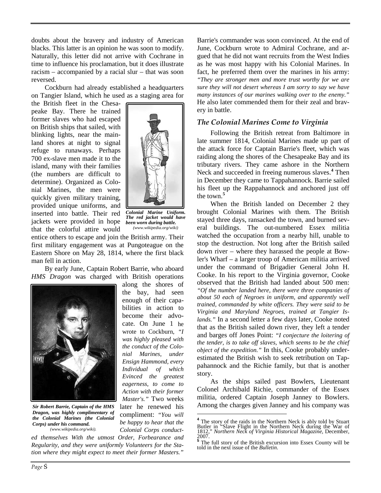doubts about the bravery and industry of American blacks. This latter is an opinion he was soon to modify. Naturally, this letter did not arrive with Cochrane in time to influence his proclamation, but it does illustrate racism – accompanied by a racial slur – that was soon reversed.

Cockburn had already established a headquarters on Tangier Island, which he used as a staging area for

the British fleet in the Chesapeake Bay. There he trained former slaves who had escaped on British ships that sailed, with blinking lights, near the mainland shores at night to signal refuge to runaways. Perhaps 700 ex-slave men made it to the island, many with their families (the numbers are difficult to determine). Organized as Colonial Marines, the men were quickly given military training, provided unique uniforms, and inserted into battle. Their red jackets were provided in hope that the colorful attire would



*Colonial Marine Uniform. The red jacket would have been worn during battle. (www.wikipedia.org/wiki)* 

entice others to escape and join the British army. Their first military engagement was at Pungoteague on the Eastern Shore on May 28, 1814, where the first black man fell in action.

By early June, Captain Robert Barrie, who aboard *HMS Dragon* was charged with British operations



*Sir Robert Barrie, Captain of the HMS Dragon, was highly complimentary of the Colonial Marines (the Colonial Corps) under his command. (www.wikipedia.org/wiki).*

along the shores of the bay, had seen enough of their capabilities in action to become their advocate. On June 1 he wrote to Cockburn, *"I was highly pleased with the conduct of the Colonial Marines, under Ensign Hammond, every Individual of which Evinced the greatest eagerness, to come to Action with their former Master's."* Two weeks later he renewed his compliment: *"You will be happy to hear that the Colonial Corps conduct-*

 $\overline{a}$ 

<span id="page-3-1"></span><span id="page-3-0"></span>*ed themselves With the utmost Order, Forbearance and Regularity, and they were uniformly Volunteers for the Station where they might expect to meet their former Masters."*

Barrie's commander was soon convinced. At the end of June, Cockburn wrote to Admiral Cochrane, and argued that he did not want recruits from the West Indies as he was most happy with his Colonial Marines. In fact, he preferred them over the marines in his army: *"They are stronger men and more trust worthy for we are sure they will not desert whereas I am sorry to say we have many instances of our marines walking over to the enemy."* He also later commended them for their zeal and bravery in battle.

## *The Colonial Marines Come to Virginia*

Following the British retreat from Baltimore in late summer 1814, Colonial Marines made up part of the attack force for Captain Barrie's fleet, which was raiding along the shores of the Chesapeake Bay and its tributary rivers. They came ashore in the Northern Neck and succeeded in freeing numerous slaves.**[4](#page-3-0)** Then in December they came to Tappahannock. Barrie sailed his fleet up the Rappahannock and anchored just off the town.**[5](#page-3-1)**

When the British landed on December 2 they brought Colonial Marines with them. The British stayed three days, ransacked the town, and burned several buildings. The out-numbered Essex militia watched the occupation from a nearby hill, unable to stop the destruction. Not long after the British sailed down river – where they harassed the people at Bowler's Wharf – a larger troop of American militia arrived under the command of Brigadier General John H. Cooke. In his report to the Virginia governor, Cooke observed that the British had landed about 500 men: *"Of the number landed here, there were three companies of about 50 each of Negroes in uniform, and apparently well trained, commanded by white officers. They were said to be Virginia and Maryland Negroes, trained at Tangier Islands."* In a second letter a few days later, Cooke noted that as the British sailed down river, they left a tender and barges off Jones Point: *"I conjecture the loitering of the tender, is to take off slaves, which seems to be the chief object of the expedition."* In this, Cooke probably underestimated the British wish to seek retribution on Tappahannock and the Richie family, but that is another story.

As the ships sailed past Bowlers, Lieutenant Colonel Archibald Richie, commander of the Essex militia, ordered Captain Joseph Janney to Bowlers. Among the charges given Janney and his company was

<sup>&</sup>lt;sup>4</sup> The story of the raids in the Northern Neck is ably told by Stuart Butler in "Slave Flight in the Northern Neck during the War of 1812," *Northern Neck of Virginia Historical Magazine*, December, 2007.

**<sup>5</sup>** The full story of the British excursion into Essex County will be told in the next issue of the *Bulletin*.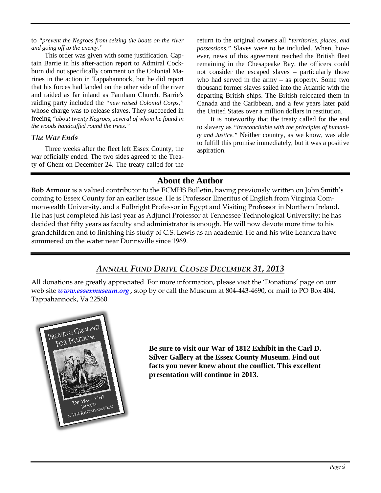to *"prevent the Negroes from seizing the boats on the river and going off to the enemy."*

This order was given with some justification. Captain Barrie in his after-action report to Admiral Cockburn did not specifically comment on the Colonial Marines in the action in Tappahannock, but he did report that his forces had landed on the other side of the river and raided as far inland as Farnham Church. Barrie's raiding party included the *"new raised Colonial Corps,"* whose charge was to release slaves. They succeeded in freeing *"about twenty Negroes, several of whom he found in the woods handcuffed round the trees."*

## *The War Ends*

Three weeks after the fleet left Essex County, the war officially ended. The two sides agreed to the Treaty of Ghent on December 24. The treaty called for the return to the original owners all *"territories, places, and possessions."* Slaves were to be included. When, however, news of this agreement reached the British fleet remaining in the Chesapeake Bay, the officers could not consider the escaped slaves – particularly those who had served in the army – as property. Some two thousand former slaves sailed into the Atlantic with the departing British ships. The British relocated them in Canada and the Caribbean, and a few years later paid the United States over a million dollars in restitution.

It is noteworthy that the treaty called for the end to slavery as *"irreconcilable with the principles of humanity and Justice."* Neither country, as we know, was able to fulfill this promise immediately, but it was a positive aspiration.

## **About the Author**

**Bob Armour** is a valued contributor to the ECMHS Bulletin, having previously written on John Smith's coming to Essex County for an earlier issue. He is Professor Emeritus of English from Virginia Commonwealth University, and a Fulbright Professor in Egypt and Visiting Professor in Northern Ireland. He has just completed his last year as Adjunct Professor at Tennessee Technological University; he has decided that fifty years as faculty and administrator is enough. He will now devote more time to his grandchildren and to finishing his study of C.S. Lewis as an academic. He and his wife Leandra have summered on the water near Dunnsville since 1969.

## *ANNUAL FUND DRIVE CLOSES DECEMBER 31, 2013*

All donations are greatly appreciated. For more information, please visit the 'Donations' page on our web site *[www.essexmuseum.org](http://www.essexmuseum.org/) ,* stop by or call the Museum at 804-443-4690, or mail to PO Box 404, Tappahannock, Va 22560.



**Be sure to visit our War of 1812 Exhibit in the Carl D. Silver Gallery at the Essex County Museum. Find out facts you never knew about the conflict. This excellent presentation will continue in 2013.**